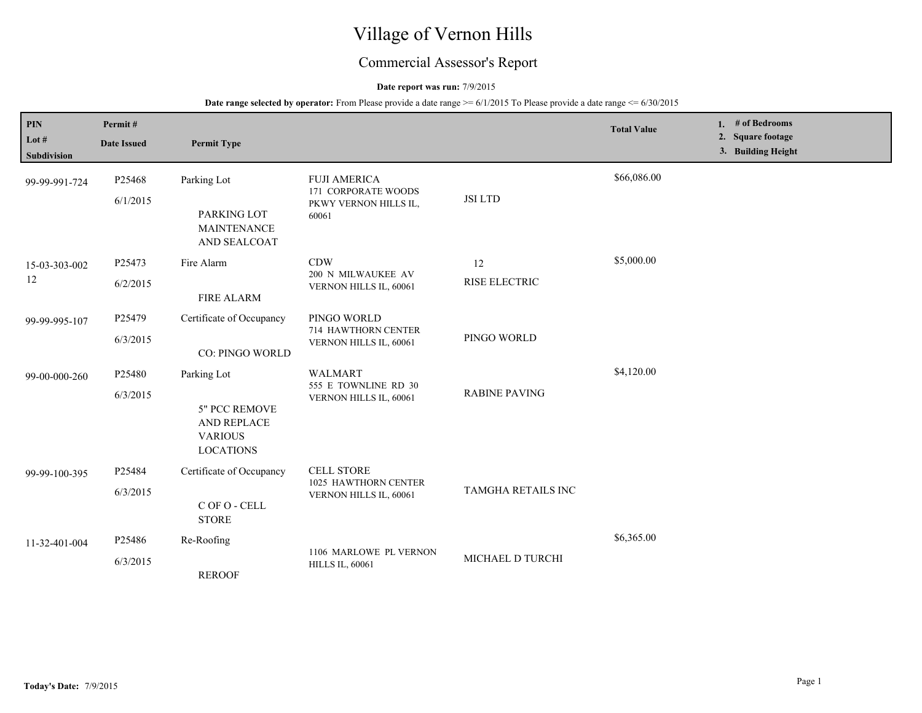# Village of Vernon Hills

## Commercial Assessor's Report

### **Date report was run:** 7/9/2015

| <b>PIN</b><br>Lot $#$<br>Subdivision | Permit#<br><b>Date Issued</b> | <b>Permit Type</b>                                                                |                                                                              |                      | <b>Total Value</b> | 1. $#$ of Bedrooms<br>2. Square footage<br>3. Building Height |
|--------------------------------------|-------------------------------|-----------------------------------------------------------------------------------|------------------------------------------------------------------------------|----------------------|--------------------|---------------------------------------------------------------|
| 99-99-991-724                        | P25468<br>6/1/2015            | Parking Lot<br>PARKING LOT<br><b>MAINTENANCE</b><br>AND SEALCOAT                  | <b>FUJI AMERICA</b><br>171 CORPORATE WOODS<br>PKWY VERNON HILLS IL,<br>60061 | <b>JSI LTD</b>       | \$66,086.00        |                                                               |
| 15-03-303-002<br>12                  | P25473<br>6/2/2015            | Fire Alarm<br><b>FIRE ALARM</b>                                                   | <b>CDW</b><br>200 N MILWAUKEE AV<br>VERNON HILLS IL, 60061                   | 12<br>RISE ELECTRIC  | \$5,000.00         |                                                               |
| 99-99-995-107                        | P25479<br>6/3/2015            | Certificate of Occupancy<br>CO: PINGO WORLD                                       | PINGO WORLD<br>714 HAWTHORN CENTER<br>VERNON HILLS IL, 60061                 | PINGO WORLD          |                    |                                                               |
| 99-00-000-260                        | P25480<br>6/3/2015            | Parking Lot<br>5" PCC REMOVE<br>AND REPLACE<br><b>VARIOUS</b><br><b>LOCATIONS</b> | <b>WALMART</b><br>555 E TOWNLINE RD 30<br>VERNON HILLS IL, 60061             | <b>RABINE PAVING</b> | \$4,120.00         |                                                               |
| 99-99-100-395                        | P25484<br>6/3/2015            | Certificate of Occupancy<br>C OF O - CELL<br><b>STORE</b>                         | <b>CELL STORE</b><br>1025 HAWTHORN CENTER<br>VERNON HILLS IL, 60061          | TAMGHA RETAILS INC   |                    |                                                               |
| 11-32-401-004                        | P25486<br>6/3/2015            | Re-Roofing<br><b>REROOF</b>                                                       | 1106 MARLOWE PL VERNON<br><b>HILLS IL, 60061</b>                             | MICHAEL D TURCHI     | \$6,365.00         |                                                               |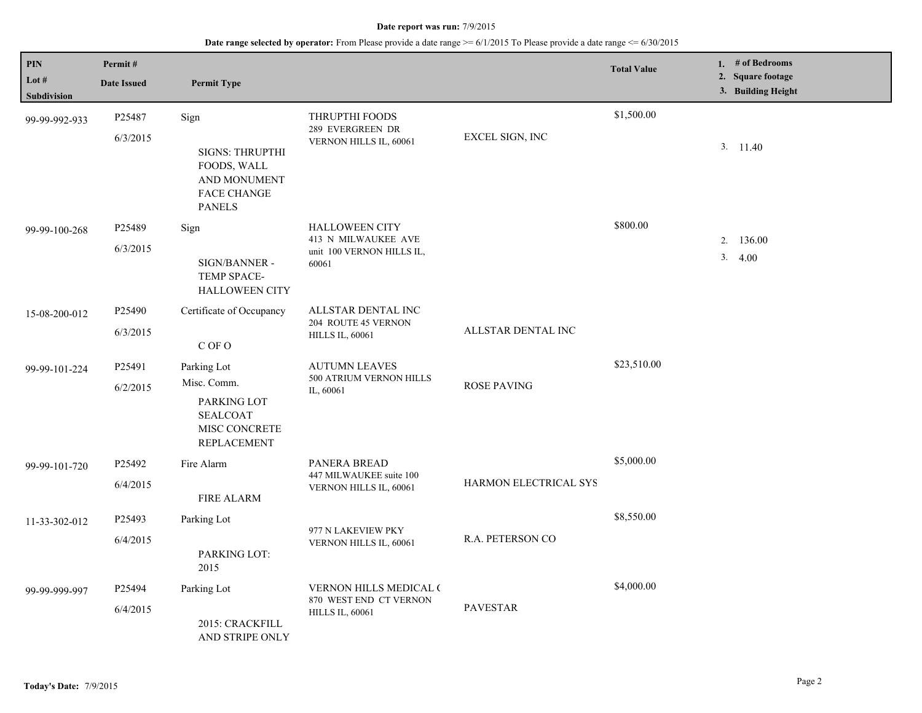| $\mathbf{PIN}$<br>Lot # | Permit#<br><b>Date Issued</b> | <b>Permit Type</b>                                                                           |                                                                     |                       | <b>Total Value</b> | 1. # of Bedrooms<br>2. Square footage<br>3. Building Height |
|-------------------------|-------------------------------|----------------------------------------------------------------------------------------------|---------------------------------------------------------------------|-----------------------|--------------------|-------------------------------------------------------------|
| Subdivision             |                               |                                                                                              |                                                                     |                       |                    |                                                             |
| 99-99-992-933           | P25487                        | Sign                                                                                         | THRUPTHI FOODS<br>289 EVERGREEN DR                                  |                       | \$1,500.00         |                                                             |
|                         | 6/3/2015                      | <b>SIGNS: THRUPTHI</b><br>FOODS, WALL<br>AND MONUMENT<br><b>FACE CHANGE</b><br><b>PANELS</b> | VERNON HILLS IL, 60061                                              | EXCEL SIGN, INC       |                    | 3. 11.40                                                    |
| 99-99-100-268           | P25489                        | Sign                                                                                         | <b>HALLOWEEN CITY</b>                                               |                       | \$800.00           |                                                             |
|                         | 6/3/2015                      | SIGN/BANNER -<br>TEMP SPACE-<br><b>HALLOWEEN CITY</b>                                        | 413 N MILWAUKEE AVE<br>unit 100 VERNON HILLS IL,<br>60061           |                       |                    | 2. 136.00<br>3.4.00                                         |
| 15-08-200-012           | P25490                        | Certificate of Occupancy                                                                     | ALLSTAR DENTAL INC<br>204 ROUTE 45 VERNON<br><b>HILLS IL, 60061</b> | ALLSTAR DENTAL INC    |                    |                                                             |
|                         | 6/3/2015                      | C OF O                                                                                       |                                                                     |                       |                    |                                                             |
| 99-99-101-224           | P25491                        | Parking Lot                                                                                  | <b>AUTUMN LEAVES</b><br>500 ATRIUM VERNON HILLS<br>IL, 60061        | <b>ROSE PAVING</b>    | \$23,510.00        |                                                             |
|                         | 6/2/2015                      | Misc. Comm.<br>PARKING LOT<br><b>SEALCOAT</b><br>MISC CONCRETE<br><b>REPLACEMENT</b>         |                                                                     |                       |                    |                                                             |
| 99-99-101-720           | P25492                        | Fire Alarm                                                                                   | PANERA BREAD<br>447 MILWAUKEE suite 100<br>VERNON HILLS IL, 60061   | HARMON ELECTRICAL SYS | \$5,000.00         |                                                             |
|                         | 6/4/2015                      | <b>FIRE ALARM</b>                                                                            |                                                                     |                       |                    |                                                             |
| 11-33-302-012           | P25493                        | Parking Lot                                                                                  | 977 N LAKEVIEW PKY                                                  |                       | \$8,550.00         |                                                             |
|                         | 6/4/2015                      | PARKING LOT:<br>2015                                                                         | VERNON HILLS IL, 60061                                              | R.A. PETERSON CO      |                    |                                                             |
| 99-99-999-997           | P25494                        | Parking Lot                                                                                  | <b>VERNON HILLS MEDICAL (</b><br>870 WEST END CT VERNON             |                       | \$4,000.00         |                                                             |
|                         | 6/4/2015                      | 2015: CRACKFILL<br>AND STRIPE ONLY                                                           | <b>HILLS IL, 60061</b>                                              | <b>PAVESTAR</b>       |                    |                                                             |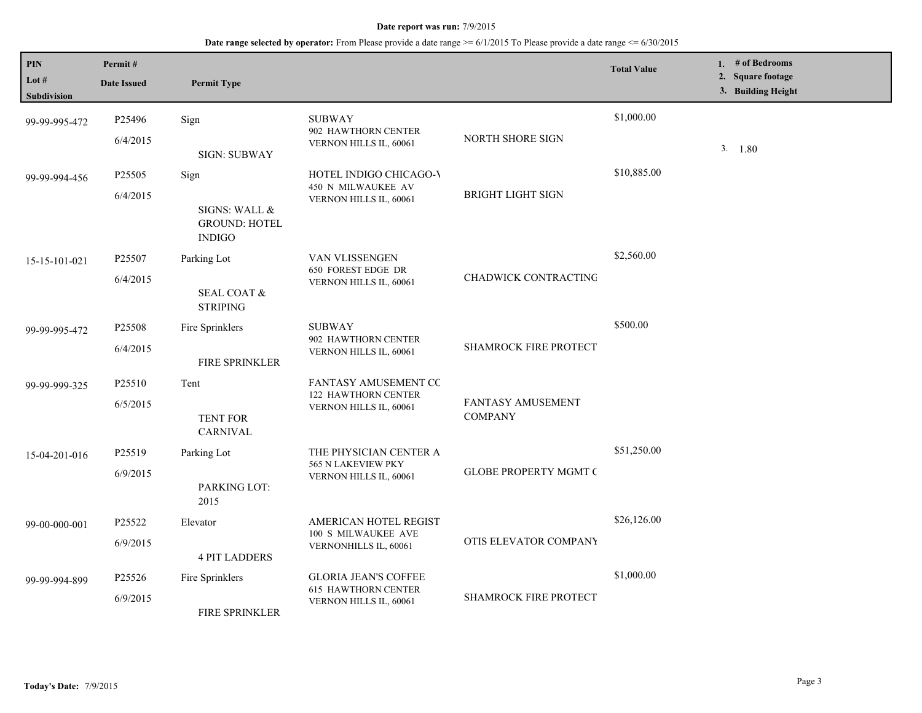| <b>PIN</b><br>Lot $#$<br><b>Subdivision</b> | Permit#<br><b>Date Issued</b>  | <b>Permit Type</b>                                             |                                                                                     |                                     | <b>Total Value</b> | 1. # of Bedrooms<br>2. Square footage<br>3. Building Height |
|---------------------------------------------|--------------------------------|----------------------------------------------------------------|-------------------------------------------------------------------------------------|-------------------------------------|--------------------|-------------------------------------------------------------|
| 99-99-995-472                               | P <sub>25496</sub><br>6/4/2015 | Sign<br><b>SIGN: SUBWAY</b>                                    | <b>SUBWAY</b><br>902 HAWTHORN CENTER<br>VERNON HILLS IL, 60061                      | NORTH SHORE SIGN                    | \$1,000.00         | 3. 1.80                                                     |
| 99-99-994-456                               | P25505<br>6/4/2015             | Sign<br>SIGNS: WALL &<br><b>GROUND: HOTEL</b><br><b>INDIGO</b> | HOTEL INDIGO CHICAGO-V<br>450 N MILWAUKEE AV<br>VERNON HILLS IL, 60061              | <b>BRIGHT LIGHT SIGN</b>            | \$10,885.00        |                                                             |
| 15-15-101-021                               | P25507<br>6/4/2015             | Parking Lot<br><b>SEAL COAT &amp;</b><br><b>STRIPING</b>       | VAN VLISSENGEN<br>650 FOREST EDGE DR<br>VERNON HILLS IL, 60061                      | CHADWICK CONTRACTING                | \$2,560.00         |                                                             |
| 99-99-995-472                               | P25508<br>6/4/2015             | Fire Sprinklers<br><b>FIRE SPRINKLER</b>                       | <b>SUBWAY</b><br>902 HAWTHORN CENTER<br>VERNON HILLS IL, 60061                      | <b>SHAMROCK FIRE PROTECT</b>        | \$500.00           |                                                             |
| 99-99-999-325                               | P <sub>25510</sub><br>6/5/2015 | Tent<br><b>TENT FOR</b><br><b>CARNIVAL</b>                     | FANTASY AMUSEMENT CC<br>122 HAWTHORN CENTER<br>VERNON HILLS IL, 60061               | FANTASY AMUSEMENT<br><b>COMPANY</b> |                    |                                                             |
| 15-04-201-016                               | P25519<br>6/9/2015             | Parking Lot<br>PARKING LOT:<br>2015                            | THE PHYSICIAN CENTER A<br>565 N LAKEVIEW PKY<br>VERNON HILLS IL, 60061              | <b>GLOBE PROPERTY MGMT C</b>        | \$51,250.00        |                                                             |
| 99-00-000-001                               | P25522<br>6/9/2015             | Elevator<br><b>4 PIT LADDERS</b>                               | AMERICAN HOTEL REGIST<br>100 S MILWAUKEE AVE<br>VERNONHILLS IL, 60061               | OTIS ELEVATOR COMPANY               | \$26,126.00        |                                                             |
| 99-99-994-899                               | P25526<br>6/9/2015             | Fire Sprinklers<br>FIRE SPRINKLER                              | <b>GLORIA JEAN'S COFFEE</b><br><b>615 HAWTHORN CENTER</b><br>VERNON HILLS IL, 60061 | SHAMROCK FIRE PROTECT               | \$1,000.00         |                                                             |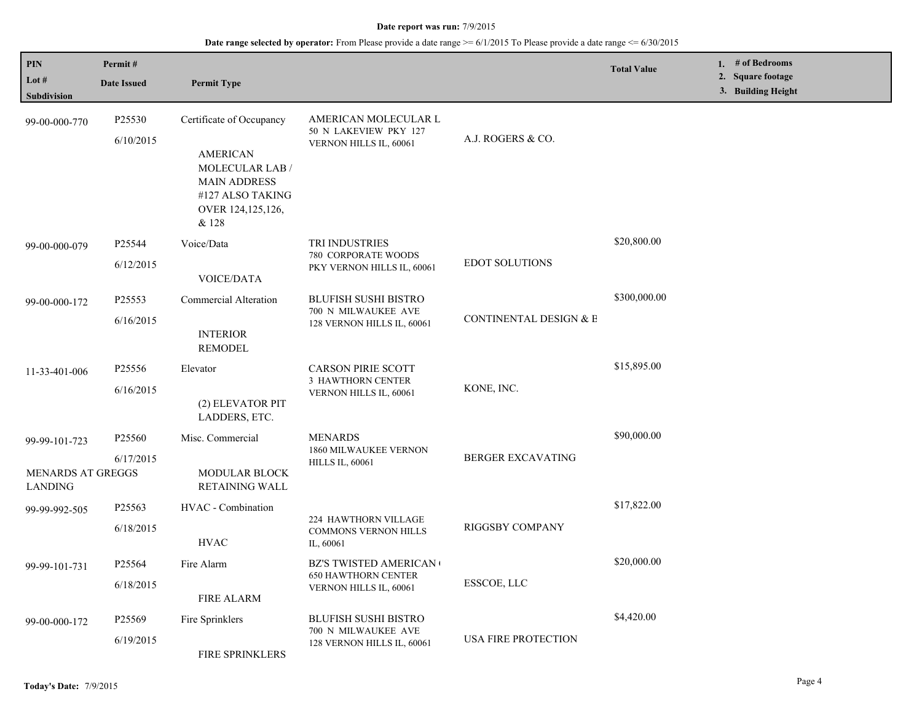| PIN                                                  | Permit#             |                                                                                                                                         |                                                                                      |                          | <b>Total Value</b> | 1. $#$ of Bedrooms                      |
|------------------------------------------------------|---------------------|-----------------------------------------------------------------------------------------------------------------------------------------|--------------------------------------------------------------------------------------|--------------------------|--------------------|-----------------------------------------|
| Lot $#$<br>Subdivision                               | <b>Date Issued</b>  | <b>Permit Type</b>                                                                                                                      |                                                                                      |                          |                    | 2. Square footage<br>3. Building Height |
| 99-00-000-770                                        | P25530<br>6/10/2015 | Certificate of Occupancy<br><b>AMERICAN</b><br>MOLECULAR LAB /<br><b>MAIN ADDRESS</b><br>#127 ALSO TAKING<br>OVER 124,125,126,<br>& 128 | AMERICAN MOLECULAR L<br>50 N LAKEVIEW PKY 127<br>VERNON HILLS IL, 60061              | A.J. ROGERS & CO.        |                    |                                         |
| 99-00-000-079                                        | P25544<br>6/12/2015 | Voice/Data<br><b>VOICE/DATA</b>                                                                                                         | <b>TRI INDUSTRIES</b><br>780 CORPORATE WOODS<br>PKY VERNON HILLS IL, 60061           | <b>EDOT SOLUTIONS</b>    | \$20,800.00        |                                         |
| 99-00-000-172                                        | P25553<br>6/16/2015 | Commercial Alteration<br><b>INTERIOR</b><br><b>REMODEL</b>                                                                              | <b>BLUFISH SUSHI BISTRO</b><br>700 N MILWAUKEE AVE<br>128 VERNON HILLS IL, 60061     | CONTINENTAL DESIGN & B   | \$300,000.00       |                                         |
| 11-33-401-006                                        | P25556<br>6/16/2015 | Elevator<br>(2) ELEVATOR PIT<br>LADDERS, ETC.                                                                                           | <b>CARSON PIRIE SCOTT</b><br>3 HAWTHORN CENTER<br>VERNON HILLS IL, 60061             | KONE, INC.               | \$15,895.00        |                                         |
| 99-99-101-723<br>MENARDS AT GREGGS<br><b>LANDING</b> | P25560<br>6/17/2015 | Misc. Commercial<br><b>MODULAR BLOCK</b><br><b>RETAINING WALL</b>                                                                       | <b>MENARDS</b><br>1860 MILWAUKEE VERNON<br><b>HILLS IL, 60061</b>                    | <b>BERGER EXCAVATING</b> | \$90,000.00        |                                         |
| 99-99-992-505                                        | P25563<br>6/18/2015 | HVAC - Combination<br><b>HVAC</b>                                                                                                       | 224 HAWTHORN VILLAGE<br><b>COMMONS VERNON HILLS</b><br>IL, 60061                     | RIGGSBY COMPANY          | \$17,822.00        |                                         |
| 99-99-101-731                                        | P25564<br>6/18/2015 | Fire Alarm<br><b>FIRE ALARM</b>                                                                                                         | <b>BZ'S TWISTED AMERICAN</b><br><b>650 HAWTHORN CENTER</b><br>VERNON HILLS IL, 60061 | ESSCOE, LLC              | \$20,000.00        |                                         |
| 99-00-000-172                                        | P25569<br>6/19/2015 | Fire Sprinklers<br>FIRE SPRINKLERS                                                                                                      | <b>BLUFISH SUSHI BISTRO</b><br>700 N MILWAUKEE AVE<br>128 VERNON HILLS IL, 60061     | USA FIRE PROTECTION      | \$4,420.00         |                                         |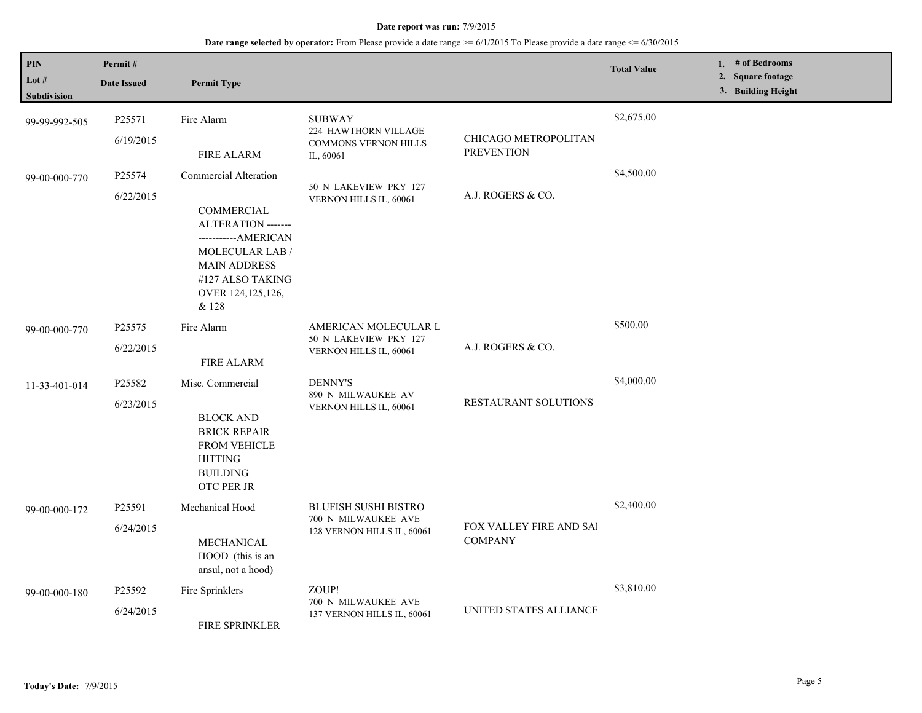| PIN<br>Lot #<br>Subdivision | Permit#<br><b>Date Issued</b>   | <b>Permit Type</b>                                                                                                                                                                               |                                                                                   |                                           | <b>Total Value</b> | 1. # of Bedrooms<br>2. Square footage<br>3. Building Height |
|-----------------------------|---------------------------------|--------------------------------------------------------------------------------------------------------------------------------------------------------------------------------------------------|-----------------------------------------------------------------------------------|-------------------------------------------|--------------------|-------------------------------------------------------------|
| 99-99-992-505               | P25571<br>6/19/2015             | Fire Alarm<br><b>FIRE ALARM</b>                                                                                                                                                                  | <b>SUBWAY</b><br>224 HAWTHORN VILLAGE<br><b>COMMONS VERNON HILLS</b><br>IL, 60061 | CHICAGO METROPOLITAN<br><b>PREVENTION</b> | \$2,675.00         |                                                             |
| 99-00-000-770               | P25574<br>6/22/2015             | Commercial Alteration<br><b>COMMERCIAL</b><br><b>ALTERATION</b> -------<br>-----------AMERICAN<br><b>MOLECULAR LAB/</b><br><b>MAIN ADDRESS</b><br>#127 ALSO TAKING<br>OVER 124,125,126,<br>& 128 | 50 N LAKEVIEW PKY 127<br>VERNON HILLS IL, 60061                                   | A.J. ROGERS & CO.                         | \$4,500.00         |                                                             |
| 99-00-000-770               | P <sub>25575</sub><br>6/22/2015 | Fire Alarm<br><b>FIRE ALARM</b>                                                                                                                                                                  | AMERICAN MOLECULAR L<br>50 N LAKEVIEW PKY 127<br>VERNON HILLS IL, 60061           | A.J. ROGERS & CO.                         | \$500.00           |                                                             |
| 11-33-401-014               | P25582<br>6/23/2015             | Misc. Commercial<br><b>BLOCK AND</b><br><b>BRICK REPAIR</b><br><b>FROM VEHICLE</b><br><b>HITTING</b><br><b>BUILDING</b><br>OTC PER JR                                                            | <b>DENNY'S</b><br>890 N MILWAUKEE AV<br>VERNON HILLS IL, 60061                    | RESTAURANT SOLUTIONS                      | \$4,000.00         |                                                             |
| 99-00-000-172               | P25591<br>6/24/2015             | Mechanical Hood<br>MECHANICAL<br>HOOD (this is an<br>ansul, not a hood)                                                                                                                          | <b>BLUFISH SUSHI BISTRO</b><br>700 N MILWAUKEE AVE<br>128 VERNON HILLS IL, 60061  | FOX VALLEY FIRE AND SAI<br><b>COMPANY</b> | \$2,400.00         |                                                             |
| 99-00-000-180               | P <sub>25592</sub><br>6/24/2015 | Fire Sprinklers<br>FIRE SPRINKLER                                                                                                                                                                | ZOUP!<br>700 N MILWAUKEE AVE<br>137 VERNON HILLS IL, 60061                        | UNITED STATES ALLIANCE                    | \$3,810.00         |                                                             |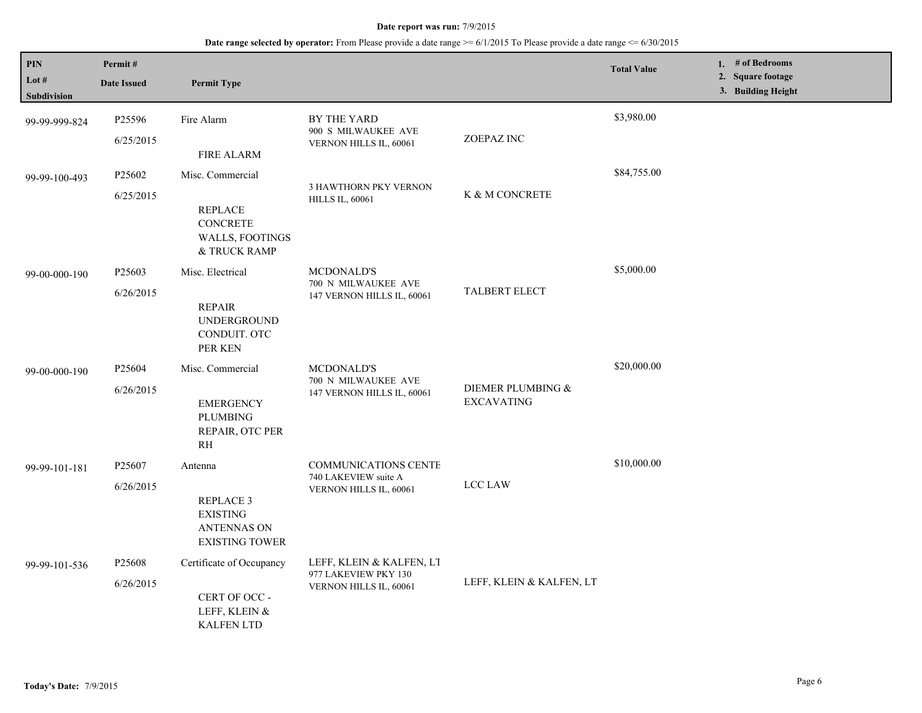| PIN<br>Lot #<br><b>Subdivision</b> | Permit#<br><b>Date Issued</b>   | <b>Permit Type</b>                                                                       |                                                                               |                                        | <b>Total Value</b> | 1. $#$ of Bedrooms<br>2. Square footage<br>3. Building Height |
|------------------------------------|---------------------------------|------------------------------------------------------------------------------------------|-------------------------------------------------------------------------------|----------------------------------------|--------------------|---------------------------------------------------------------|
| 99-99-999-824                      | P25596<br>6/25/2015             | Fire Alarm<br>FIRE ALARM                                                                 | BY THE YARD<br>900 S MILWAUKEE AVE<br>VERNON HILLS IL, 60061                  | ZOEPAZ INC                             | \$3,980.00         |                                                               |
| 99-99-100-493                      | P25602<br>6/25/2015             | Misc. Commercial<br><b>REPLACE</b><br><b>CONCRETE</b><br>WALLS, FOOTINGS<br>& TRUCK RAMP | <b>3 HAWTHORN PKY VERNON</b><br><b>HILLS IL, 60061</b>                        | K & M CONCRETE                         | \$84,755.00        |                                                               |
| 99-00-000-190                      | P25603<br>6/26/2015             | Misc. Electrical<br><b>REPAIR</b><br><b>UNDERGROUND</b><br>CONDUIT. OTC<br>PER KEN       | MCDONALD'S<br>700 N MILWAUKEE AVE<br>147 VERNON HILLS IL, 60061               | <b>TALBERT ELECT</b>                   | \$5,000.00         |                                                               |
| 99-00-000-190                      | P25604<br>6/26/2015             | Misc. Commercial<br><b>EMERGENCY</b><br>PLUMBING<br>REPAIR, OTC PER<br><b>RH</b>         | <b>MCDONALD'S</b><br>700 N MILWAUKEE AVE<br>147 VERNON HILLS IL, 60061        | DIEMER PLUMBING &<br><b>EXCAVATING</b> | \$20,000.00        |                                                               |
| 99-99-101-181                      | P <sub>25607</sub><br>6/26/2015 | Antenna<br>REPLACE 3<br><b>EXISTING</b><br><b>ANTENNAS ON</b><br><b>EXISTING TOWER</b>   | <b>COMMUNICATIONS CENTE</b><br>740 LAKEVIEW suite A<br>VERNON HILLS IL, 60061 | LCC LAW                                | \$10,000.00        |                                                               |
| 99-99-101-536                      | P25608<br>6/26/2015             | Certificate of Occupancy<br>CERT OF OCC -<br>LEFF, KLEIN &<br><b>KALFEN LTD</b>          | LEFF, KLEIN & KALFEN, LT<br>977 LAKEVIEW PKY 130<br>VERNON HILLS IL, 60061    | LEFF, KLEIN & KALFEN, LT               |                    |                                                               |